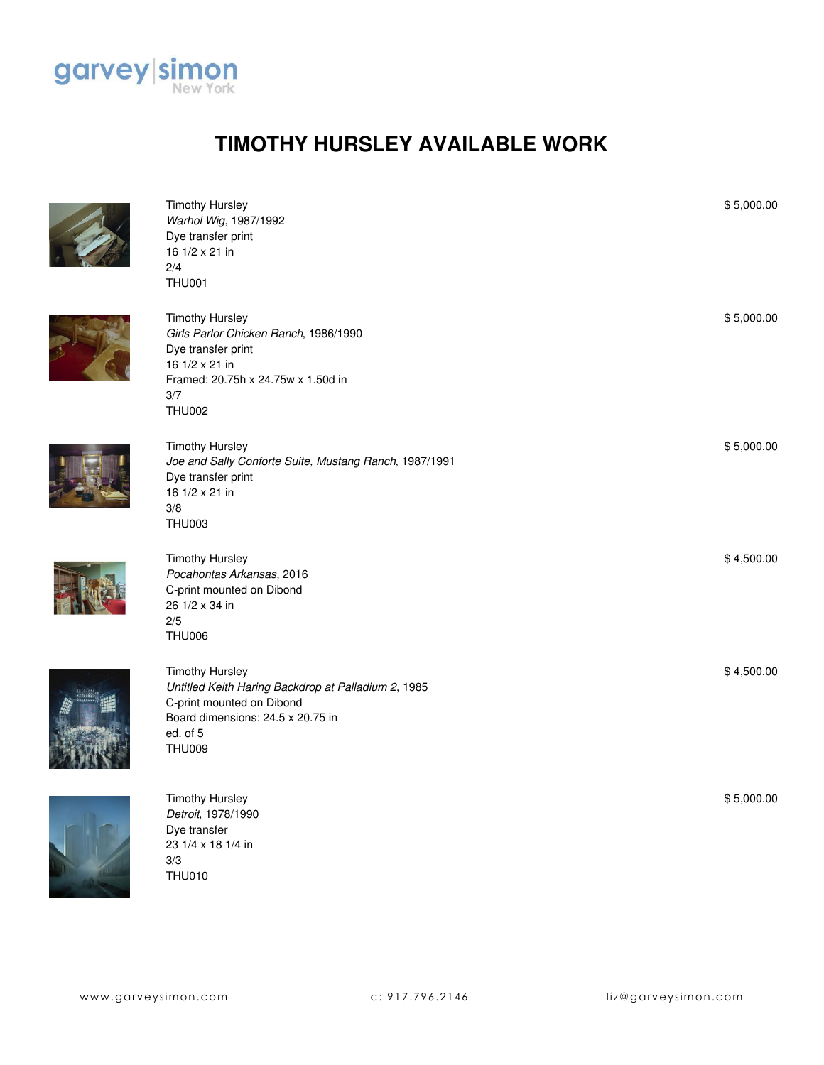

## **TIMOTHY HURSLEY AVAILABLE WORK**



| <b>Timothy Hursley</b><br>Warhol Wig, 1987/1992<br>Dye transfer print<br>16 1/2 x 21 in<br>2/4<br><b>THU001</b>                                                              | \$5,000.00 |
|------------------------------------------------------------------------------------------------------------------------------------------------------------------------------|------------|
| <b>Timothy Hursley</b><br>Girls Parlor Chicken Ranch, 1986/1990<br>Dye transfer print<br>16 1/2 x 21 in<br>Framed: 20.75h x 24.75w x 1.50d in<br>3/7<br><b>THU002</b>        | \$5,000.00 |
| <b>Timothy Hursley</b><br>Joe and Sally Conforte Suite, Mustang Ranch, 1987/1991<br>Dye transfer print<br>16 1/2 x 21 in<br>3/8<br><b>THU003</b>                             | \$5,000.00 |
| <b>Timothy Hursley</b><br>Pocahontas Arkansas, 2016<br>C-print mounted on Dibond<br>26 1/2 x 34 in<br>2/5<br><b>THU006</b>                                                   | \$4,500.00 |
| <b>Timothy Hursley</b><br>Untitled Keith Haring Backdrop at Palladium 2, 1985<br>C-print mounted on Dibond<br>Board dimensions: 24.5 x 20.75 in<br>ed. of 5<br><b>THU009</b> | \$4,500.00 |
| <b>Timothy Hursley</b><br>Detroit, 1978/1990<br>Dye transfer<br>23 1/4 x 18 1/4 in<br>3/3                                                                                    | \$5,000.00 |

THU010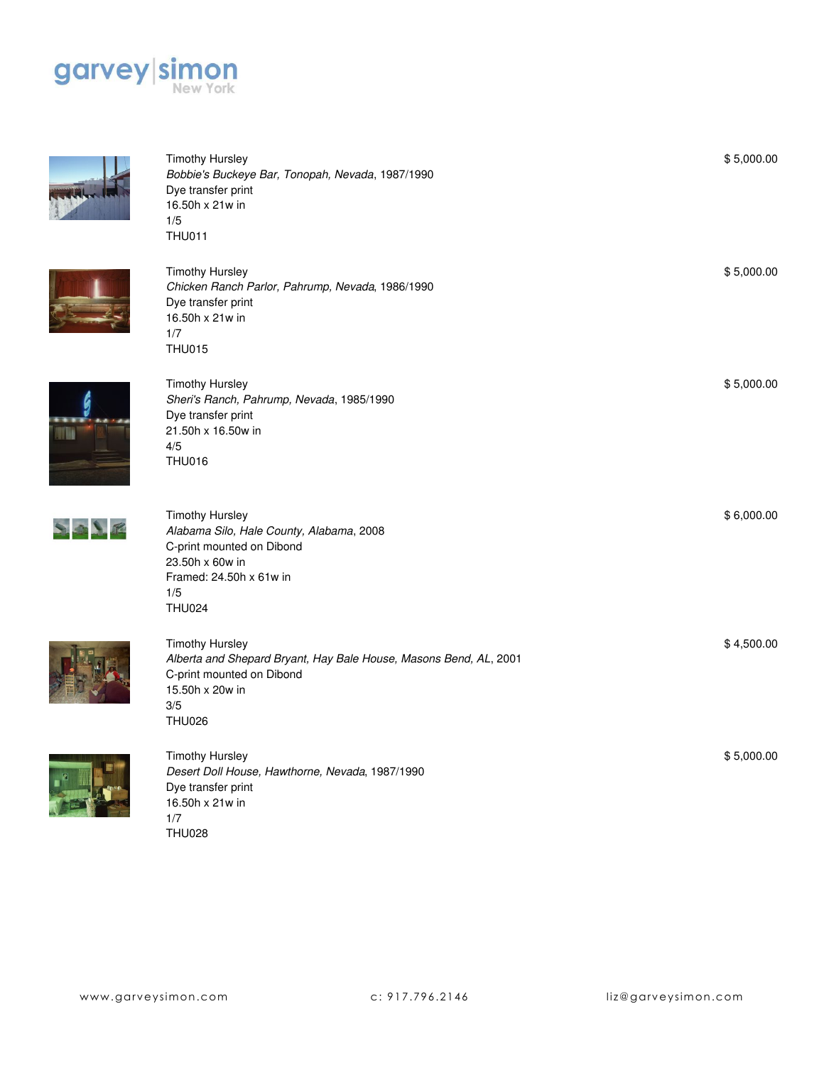



Timothy Hursley *Bobbie's Buckeye Bar, Tonopah, Nevada*, 1987/1990 Dye transfer print 16.50h x 21w in 1/5 THU011



Timothy Hursley *Chicken Ranch Parlor, Pahrump, Nevada*, 1986/1990 Dye transfer print 16.50h x 21w in 1/7 THU015



Timothy Hursley *Sheri's Ranch, Pahrump, Nevada*, 1985/1990 Dye transfer print 21.50h x 16.50w in 4/5 THU016



Timothy Hursley *Alabama Silo, Hale County, Alabama*, 2008 C-print mounted on Dibond 23.50h x 60w in Framed: 24.50h x 61w in 1/5 THU024



Timothy Hursley *Alberta and Shepard Bryant, Hay Bale House, Masons Bend, AL*, 2001 C-print mounted on Dibond 15.50h x 20w in 3/5 THU026



Timothy Hursley *Desert Doll House, Hawthorne, Nevada*, 1987/1990 Dye transfer print 16.50h x 21w in 1/7 THU028

\$ 5,000.00

\$ 5,000.00

\$ 5,000.00

\$ 6,000.00

\$ 4,500.00

\$ 5,000.00